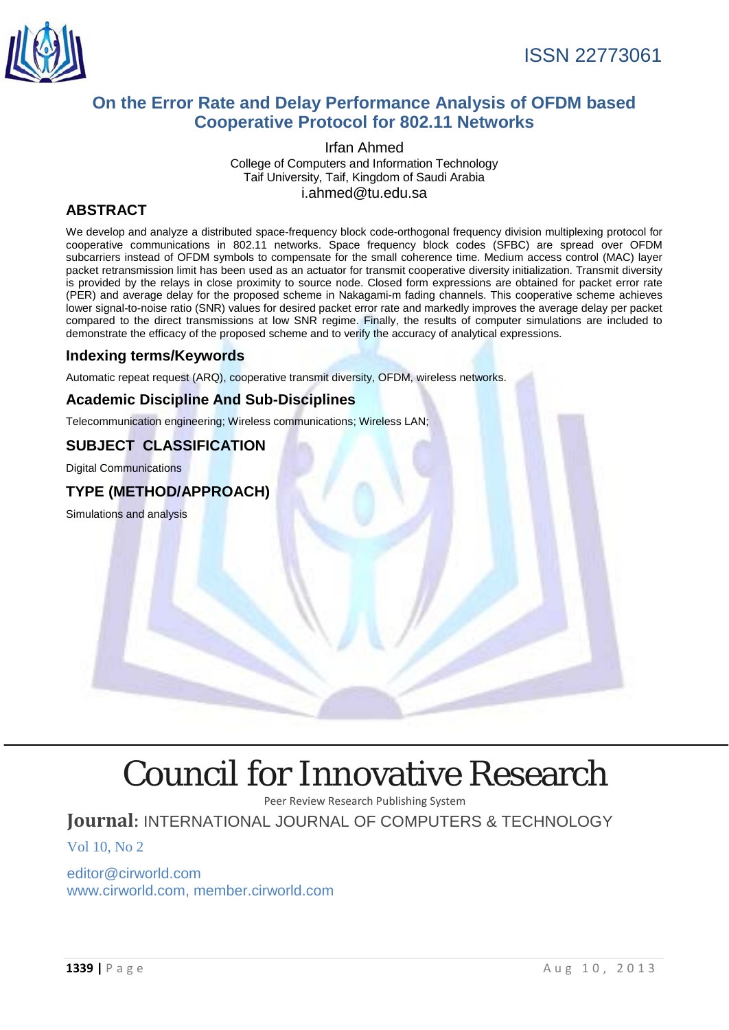

# **On the Error Rate and Delay Performance Analysis of OFDM based Cooperative Protocol for 802.11 Networks**

Irfan Ahmed College of Computers and Information Technology Taif University, Taif, Kingdom of Saudi Arabia i.ahmed@tu.edu.sa

# **ABSTRACT**

We develop and analyze a distributed space-frequency block code-orthogonal frequency division multiplexing protocol for cooperative communications in 802.11 networks. Space frequency block codes (SFBC) are spread over OFDM subcarriers instead of OFDM symbols to compensate for the small coherence time. Medium access control (MAC) layer packet retransmission limit has been used as an actuator for transmit cooperative diversity initialization. Transmit diversity is provided by the relays in close proximity to source node. Closed form expressions are obtained for packet error rate (PER) and average delay for the proposed scheme in Nakagami-m fading channels. This cooperative scheme achieves lower signal-to-noise ratio (SNR) values for desired packet error rate and markedly improves the average delay per packet compared to the direct transmissions at low SNR regime. Finally, the results of computer simulations are included to demonstrate the efficacy of the proposed scheme and to verify the accuracy of analytical expressions.

#### **Indexing terms/Keywords**

Automatic repeat request (ARQ), cooperative transmit diversity, OFDM, wireless networks.

## **Academic Discipline And Sub-Disciplines**

Telecommunication engineering; Wireless communications; Wireless LAN;

## **SUBJECT CLASSIFICATION**

Digital Communications

## **TYPE (METHOD/APPROACH)**

Simulations and analysis

# [Council for Innovative Research](http://member.cirworld.com/)

Peer Review Research Publishing System

# **Journal:** INTERNATIONAL JOURNAL OF COMPUTERS & TECHNOLOGY

Vol 10, No 2

editor@cirworld.com [www.cirworld.com, me](http://www.cirworld.com/)mber.cirworld.com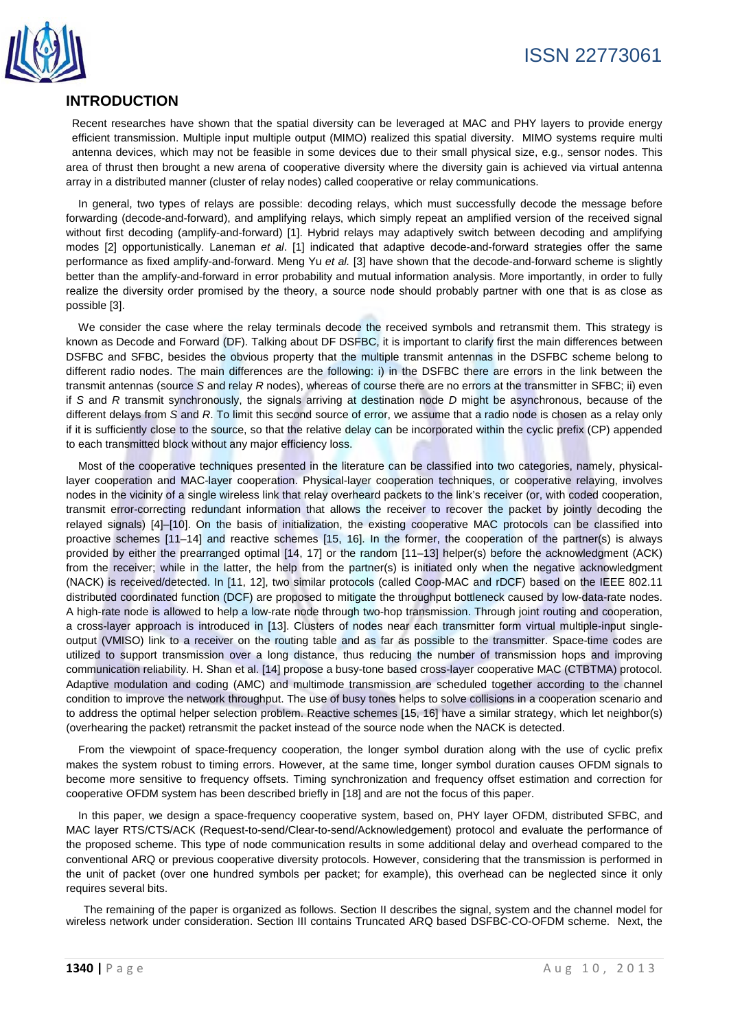

# **INTRODUCTION**

Recent researches have shown that the spatial diversity can be leveraged at MAC and PHY layers to provide energy efficient transmission. Multiple input multiple output (MIMO) realized this spatial diversity. MIMO systems require multi antenna devices, which may not be feasible in some devices due to their small physical size, e.g., sensor nodes. This area of thrust then brought a new arena of cooperative diversity where the diversity gain is achieved via virtual antenna array in a distributed manner (cluster of relay nodes) called cooperative or relay communications.

In general, two types of relays are possible: decoding relays, which must successfully decode the message before forwarding (decode-and-forward), and amplifying relays, which simply repeat an amplified version of the received signal without first decoding (amplify-and-forward) [1]. Hybrid relays may adaptively switch between decoding and amplifying modes [2] opportunistically. Laneman *et al*. [1] indicated that adaptive decode-and-forward strategies offer the same performance as fixed amplify-and-forward. Meng Yu *et al.* [3] have shown that the decode-and-forward scheme is slightly better than the amplify-and-forward in error probability and mutual information analysis. More importantly, in order to fully realize the diversity order promised by the theory, a source node should probably partner with one that is as close as possible [3].

We consider the case where the relay terminals decode the received symbols and retransmit them. This strategy is known as Decode and Forward (DF). Talking about DF DSFBC, it is important to clarify first the main differences between DSFBC and SFBC, besides the obvious property that the multiple transmit antennas in the DSFBC scheme belong to different radio nodes. The main differences are the following: i) in the DSFBC there are errors in the link between the transmit antennas (source *S* and relay *R* nodes), whereas of course there are no errors at the transmitter in SFBC; ii) even if *S* and *R* transmit synchronously, the signals arriving at destination node *D* might be asynchronous, because of the different delays from *S* and *R*. To limit this second source of error, we assume that a radio node is chosen as a relay only if it is sufficiently close to the source, so that the relative delay can be incorporated within the cyclic prefix (CP) appended to each transmitted block without any major efficiency loss.

Most of the cooperative techniques presented in the literature can be classified into two categories, namely, physicallayer cooperation and MAC-layer cooperation. Physical-layer cooperation techniques, or cooperative relaying, involves nodes in the vicinity of a single wireless link that relay overheard packets to the link's receiver (or, with coded cooperation, transmit error-correcting redundant information that allows the receiver to recover the packet by jointly decoding the relayed signals) [4]–[10]. On the basis of initialization, the existing cooperative MAC protocols can be classified into proactive schemes [11–14] and reactive schemes [15, 16]. In the former, the cooperation of the partner(s) is always provided by either the prearranged optimal [14, 17] or the random [11–13] helper(s) before the acknowledgment (ACK) from the receiver; while in the latter, the help from the partner(s) is initiated only when the negative acknowledgment (NACK) is received/detected. In [11, 12], two similar protocols (called Coop-MAC and rDCF) based on the IEEE 802.11 distributed coordinated function (DCF) are proposed to mitigate the throughput bottleneck caused by low-data-rate nodes. A high-rate node is allowed to help a low-rate node through two-hop transmission. Through joint routing and cooperation, a cross-layer approach is introduced in [13]. Clusters of nodes near each transmitter form virtual multiple-input singleoutput (VMISO) link to a receiver on the routing table and as far as possible to the transmitter. Space-time codes are utilized to support transmission over a long distance, thus reducing the number of transmission hops and improving communication reliability. H. Shan et al. [14] propose a busy-tone based cross-layer cooperative MAC (CTBTMA) protocol. Adaptive modulation and coding (AMC) and multimode transmission are scheduled together according to the channel condition to improve the network throughput. The use of busy tones helps to solve collisions in a cooperation scenario and to address the optimal helper selection problem. Reactive schemes [15, 16] have a similar strategy, which let neighbor(s) (overhearing the packet) retransmit the packet instead of the source node when the NACK is detected.

From the viewpoint of space-frequency cooperation, the longer symbol duration along with the use of cyclic prefix makes the system robust to timing errors. However, at the same time, longer symbol duration causes OFDM signals to become more sensitive to frequency offsets. Timing synchronization and frequency offset estimation and correction for cooperative OFDM system has been described briefly in [18] and are not the focus of this paper.

In this paper, we design a space-frequency cooperative system, based on, PHY layer OFDM, distributed SFBC, and MAC layer RTS/CTS/ACK (Request-to-send/Clear-to-send/Acknowledgement) protocol and evaluate the performance of the proposed scheme. This type of node communication results in some additional delay and overhead compared to the conventional ARQ or previous cooperative diversity protocols. However, considering that the transmission is performed in the unit of packet (over one hundred symbols per packet; for example), this overhead can be neglected since it only requires several bits.

The remaining of the paper is organized as follows. Section II describes the signal, system and the channel model for wireless network under consideration. Section III contains Truncated ARQ based DSFBC-CO-OFDM scheme. Next, the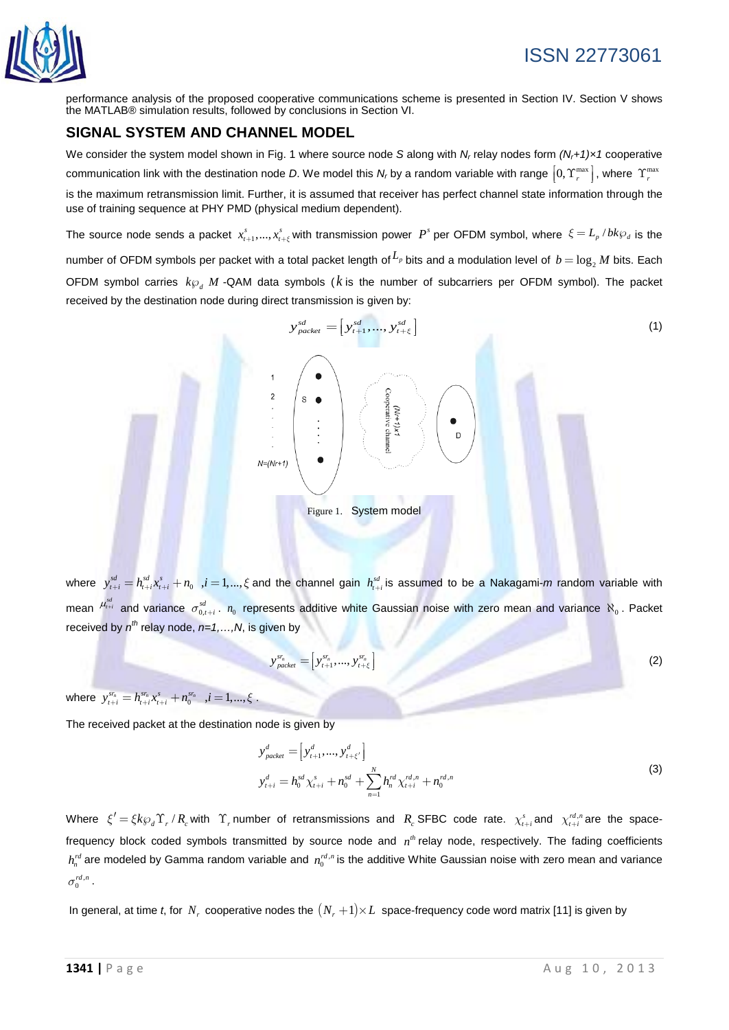

performance analysis of the proposed cooperative communications scheme is presented in Section IV. Section V shows the MATLAB® simulation results, followed by conclusions in Section VI.

# **SIGNAL SYSTEM AND CHANNEL MODEL**

We consider the system model shown in Fig. 1 where source node *S* along with *Nr* relay nodes form *(Nr+1)×1* cooperative communication link with the destination node *D*. We model this *N<sub>r</sub>* by a random variable with range  $[0, T_r^{\max}]$ , where  $T_r^{\max}$ is the maximum retransmission limit. Further, it is assumed that receiver has perfect channel state information through the use of training sequence at PHY PMD (physical medium dependent).

The source node sends a packet  $x_{t+1}^s,...,x_{t+\xi}^s$  with transmission power  $P^s$  per OFDM symbol, where  $\zeta = L_p/bk\wp_d$  is the number of OFDM symbols per packet with a total packet length of  $L_p$  bits and a modulation level of  $b = \log_2 M$  bits. Each OFDM symbol carries  $k\varphi$  *M* -QAM data symbols ( $k$  is the number of subcarriers per OFDM symbol). The packet received by the destination node during direct transmission is given by:



where  $y_{t+i}^{sd} = h_{t+i}^{sd} x_{t+i}^s + n_0$  ,  $i = 1,...,\xi$  and the channel gain  $h_{t+i}^{sd}$  is assumed to be a Nakagami-*m* random variable with mean  $\mu_{t+i}^{sd}$  and variance  $\sigma_{0,t+i}^{sd}$  .  $n_0$  represents additive white Gaussian noise with zero mean and variance  $\aleph_0$ . Packet received by  $n^{th}$  relay node,  $n=1,...,N$ , is given by

$$
y_{packet}^{sr_n} = [y_{t+1}^{sr_n}, ..., y_{t+\xi}^{sr_n}]
$$
 (2)

where  $y_{t+i}^{sr_n} = h_{t+i}^{sr_n} x_{t+i}^s + n_0^{sr_n}$  ,  $i = 1, ..., \xi$ .

The received packet at the destination node is given by

$$
y_{packet}^d = [y_{t+1}^d, ..., y_{t+\xi'}^d]
$$
  
\n
$$
y_{t+i}^d = h_0^{sd} \chi_{t+i}^s + n_0^{sd} + \sum_{n=1}^N h_n^{rd} \chi_{t+i}^{rd,n} + n_0^{rd,n}
$$
\n(3)

Where  $\xi' = \xi k \wp_d \Upsilon_r / R_c$  with  $\Upsilon_r$  number of retransmissions and  $R_c$  SFBC code rate.  $\chi_{t+i}^s$  and  $\chi_{t+i}^{rd,n}$  are the spacefrequency block coded symbols transmitted by source node and  $n<sup>th</sup>$  relay node, respectively. The fading coefficients  $h_n^{rd}$  are modeled by Gamma random variable and  $n_0^{rd,n}$  is the additive White Gaussian noise with zero mean and variance  $\sigma^{rd,n}_{0}$  .

In general, at time *t*, for  $N_r$  cooperative nodes the  $(N_r + 1) \times L$  space-frequency code word matrix [11] is given by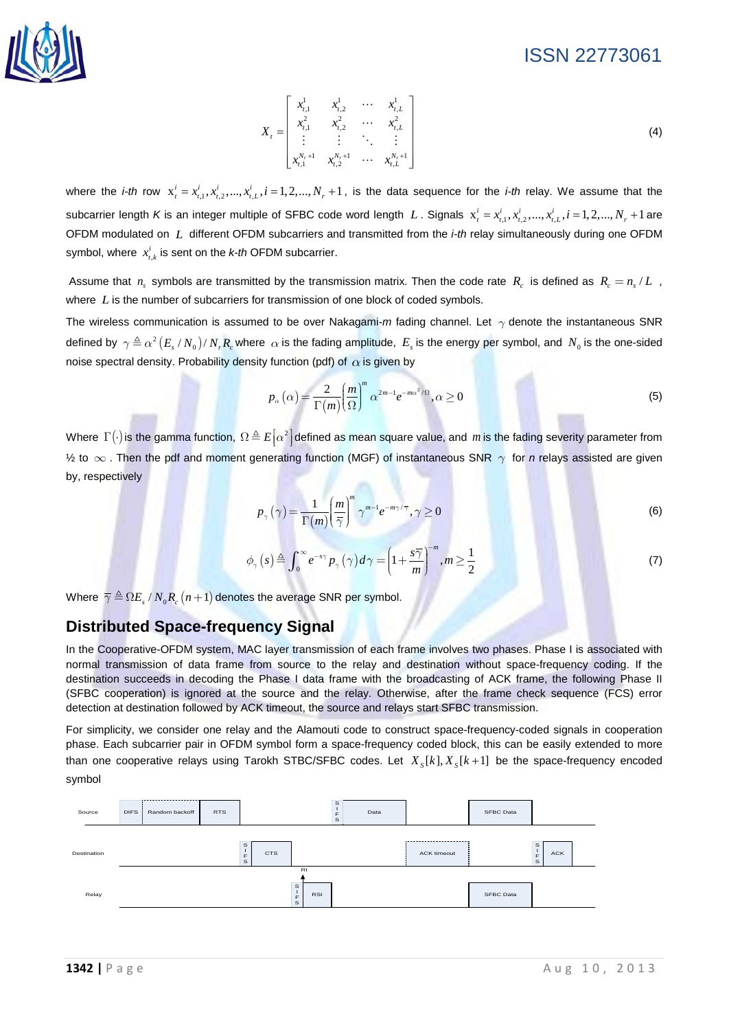

$$
X_{t} = \begin{bmatrix} x_{t,1}^{1} & x_{t,2}^{1} & \cdots & x_{t,L}^{1} \\ x_{t,1}^{2} & x_{t,2}^{2} & \cdots & x_{t,L}^{2} \\ \vdots & \vdots & \ddots & \vdots \\ x_{t,1}^{N_{r}+1} & x_{t,2}^{N_{r}+1} & \cdots & x_{t,L}^{N_{r}+1} \end{bmatrix}
$$
 (4)

where the *i-th* row  $x_i^i = x_{i,1}^i, x_{i,2}^i, ..., x_{i,L}^i, i = 1,2,...,N_r + 1$ , is the data sequence for the *i-th* relay. We assume that the subcarrier length *K* is an integer multiple of SFBC code word length *L*. Signals  $x_t^i = x_{t,1}^i, x_{t,2}^i, ..., x_{t,L}^i, i = 1, 2, ..., N_r + 1$  are OFDM modulated on *L* different OFDM subcarriers and transmitted from the *i-th* relay simultaneously during one OFDM symbol, where  $x_{t,k}^i$  is sent on the *k-th* OFDM subcarrier.

Assume that  $n_s$  symbols are transmitted by the transmission matrix. Then the code rate  $R_c$  is defined as  $R_c = n_s/L$ , where *L* is the number of subcarriers for transmission of one block of coded symbols.

The wireless communication is assumed to be over Nakagami-*m* fading channel. Let  $\gamma$  denote the instantaneous SNR defined by  $\gamma \triangleq \alpha^2 (E_s/N_0)/N_r R_c$  where  $\alpha$  is the fading amplitude,  $E_s$  is the energy per symbol, and  $N_0$  is the one-sided noise spectral density. Probability density function (pdf) of  $\alpha$  is given by

$$
p_{\alpha}\left(\alpha\right) = \frac{2}{\Gamma(m)} \left(\frac{m}{\Omega}\right)^{m} \alpha^{2m-1} e^{-m\alpha^{2}/\Omega}, \alpha \ge 0
$$
\n<sup>(5)</sup>

Where  $\Gamma(\cdot)$  is the gamma function,  $\Omega \triangleq E[\alpha^2]$  defined as mean square value, and *m* is the fading severity parameter from  $\frac{1}{2}$  to  $\infty$ . Then the pdf and moment generating function (MGF) of instantaneous SNR  $\gamma$  for *n* relays assisted are given by, respectively

$$
p_{\gamma}\left(\gamma\right) = \frac{1}{\Gamma(m)} \left(\frac{m}{\overline{\gamma}}\right)^{m} \gamma^{m-1} e^{-m\gamma/\overline{\gamma}}, \gamma \ge 0 \tag{6}
$$

$$
\phi_{\gamma}(s) \triangleq \int_0^{\infty} e^{-s\gamma} p_{\gamma}(\gamma) d\gamma = \left(1 + \frac{s\overline{\gamma}}{m}\right)^{-m}, m \ge \frac{1}{2}
$$
 (7)

Where  $\overline{\gamma} \triangleq \Omega E_s / N_0 R_c (n+1)$  denotes the average SNR per symbol.

## **Distributed Space-frequency Signal**

In the Cooperative-OFDM system, MAC layer transmission of each frame involves two phases. Phase I is associated with normal transmission of data frame from source to the relay and destination without space-frequency coding. If the destination succeeds in decoding the Phase I data frame with the broadcasting of ACK frame, the following Phase II (SFBC cooperation) is ignored at the source and the relay. Otherwise, after the frame check sequence (FCS) error detection at destination followed by ACK timeout, the source and relays start SFBC transmission.

For simplicity, we consider one relay and the Alamouti code to construct space-frequency-coded signals in cooperation phase. Each subcarrier pair in OFDM symbol form a space-frequency coded block, this can be easily extended to more than one cooperative relays using Tarokh STBC/SFBC codes. Let  $X_{\kappa}[k], X_{\kappa}[k+1]$  be the space-frequency encoded symbol

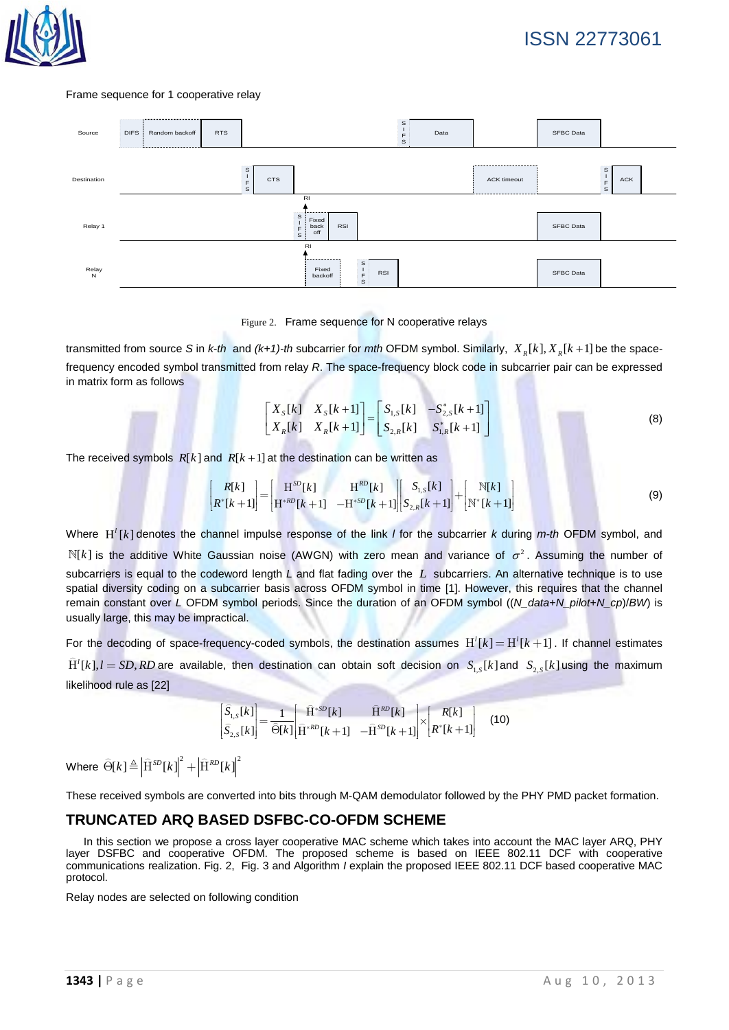

#### Frame sequence for 1 cooperative relay



Figure 2. Frame sequence for N cooperative relays

transmitted from source *S* in *k-th* and  $(k+1)$ -th subcarrier for *mth* OFDM symbol. Similarly,  $X_k[k], X_k[k+1]$  be the spacefrequency encoded symbol transmitted from relay *R*. The space-frequency block code in subcarrier pair can be expressed in matrix form as follows

$$
\begin{bmatrix} X_s[k] & X_s[k+1] \\ X_R[k] & X_R[k+1] \end{bmatrix} = \begin{bmatrix} S_{1,s}[k] & -S_{2,s}^*[k+1] \\ S_{2,R}[k] & S_{1,R}^*[k+1] \end{bmatrix}
$$
 (8)

The received symbols  $R[k]$  and  $R[k+1]$  at the destination can be written as

$$
\begin{bmatrix} R[k] \\ R^*[k+1] \end{bmatrix} = \begin{bmatrix} H^{SD}[k] & H^{RD}[k] \\ H^{*RD}[k+1] & -H^{*SD}[k+1] \end{bmatrix} \begin{bmatrix} S_{1,S}[k] \\ S_{2,R}[k+1] \end{bmatrix} + \begin{bmatrix} N[k] \\ N^*[k+1] \end{bmatrix}
$$
(9)

Where  $H^{\dagger}[k]$  denotes the channel impulse response of the link *l* for the subcarrier *k* during *m-th* OFDM symbol, and  $N[k]$  is the additive White Gaussian noise (AWGN) with zero mean and variance of  $\sigma^2$ . Assuming the number of subcarriers is equal to the codeword length *L* and flat fading over the *L* subcarriers. An alternative technique is to use spatial diversity coding on a subcarrier basis across OFDM symbol in time [1]. However, this requires that the channel remain constant over *L* OFDM symbol periods. Since the duration of an OFDM symbol ((*N\_data*+*N\_pilot*+*N\_cp*)/*BW*) is usually large, this may be impractical.

For the decoding of space-frequency-coded symbols, the destination assumes  $H^1[k] = H^1[k+1]$ . If channel estimates  $H'[k]$ ,  $l = SD, RD$  are available, then destination can obtain soft decision on  $S_{15}[k]$  and  $S_{25}[k]$  using the maximum likelihood rule as [22]

$$
\begin{bmatrix} \hat{S}_{1,S}[k] \\ \hat{S}_{2,S}[k] \end{bmatrix} = \frac{1}{\hat{\Theta}[k]} \begin{bmatrix} \hat{H}^{*SD}[k] & \hat{H}^{RD}[k] \\ \hat{H}^{*RD}[k+1] & -\hat{H}^{SD}[k+1] \end{bmatrix} \times \begin{bmatrix} R[k] \\ R^{*}[k+1] \end{bmatrix}
$$
(10)

Where  $\widehat{\Theta}[k] \triangleq \left| \widehat{\mathrm{H}}^{SD}[k] \right|^2 + \left| \widehat{\mathrm{H}}^{RD}[k] \right|^2$ 

These received symbols are converted into bits through M-QAM demodulator followed by the PHY PMD packet formation.

#### **TRUNCATED ARQ BASED DSFBC-CO-OFDM SCHEME**

In this section we propose a cross layer cooperative MAC scheme which takes into account the MAC layer ARQ, PHY layer DSFBC and cooperative OFDM. The proposed scheme is based on IEEE 802.11 DCF with cooperative communications realization. Fig. 2, Fig. 3 and Algorithm *I* explain the proposed IEEE 802.11 DCF based cooperative MAC protocol.

Relay nodes are selected on following condition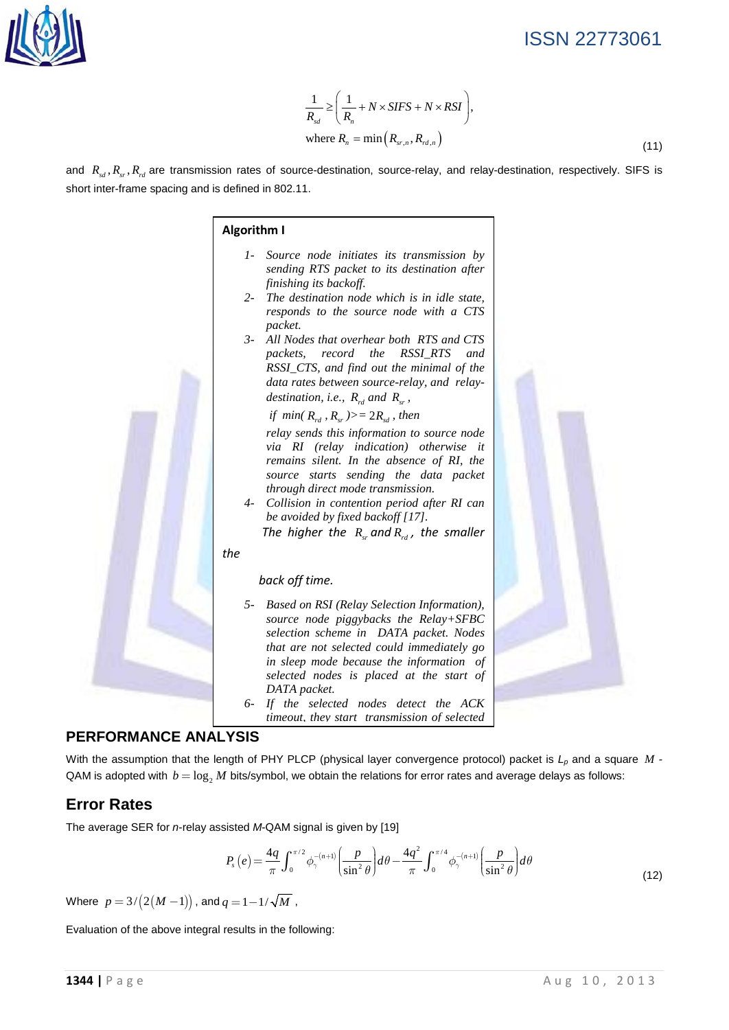

$$
\frac{1}{R_{sd}} \ge \left(\frac{1}{R_n} + N \times SIFS + N \times RSI\right),
$$
\n
$$
\text{where } R_n = \min\left(R_{sr,n}, R_{rd,n}\right) \tag{11}
$$

and  $R_{sd}$ ,  $R_{sr}$ ,  $R_{rd}$  are transmission rates of source-destination, source-relay, and relay-destination, respectively. SIFS is short inter-frame spacing and is defined in 802.11.



*timeout, they start transmission of selected* 

## **PERFORMANCE ANALYSIS**

With the assumption that the length of PHY PLCP (physical layer convergence protocol) packet is  $L_p$  and a square  $M$  -QAM is adopted with  $b = \log_2 M$  bits/symbol, we obtain the relations for error rates and average delays as follows:

# **Error Rates**

The average SER for *n*-relay assisted *M*-QAM signal is given by [19]

$$
P_s(e) = \frac{4q}{\pi} \int_0^{\pi/2} \phi_{\gamma}^{-(n+1)} \left(\frac{p}{\sin^2 \theta}\right) d\theta - \frac{4q^2}{\pi} \int_0^{\pi/4} \phi_{\gamma}^{-(n+1)} \left(\frac{p}{\sin^2 \theta}\right) d\theta \tag{12}
$$

Where  $p = 3/(2(M-1))$ , and  $q = 1 - 1/\sqrt{M}$ ,

Evaluation of the above integral results in the following: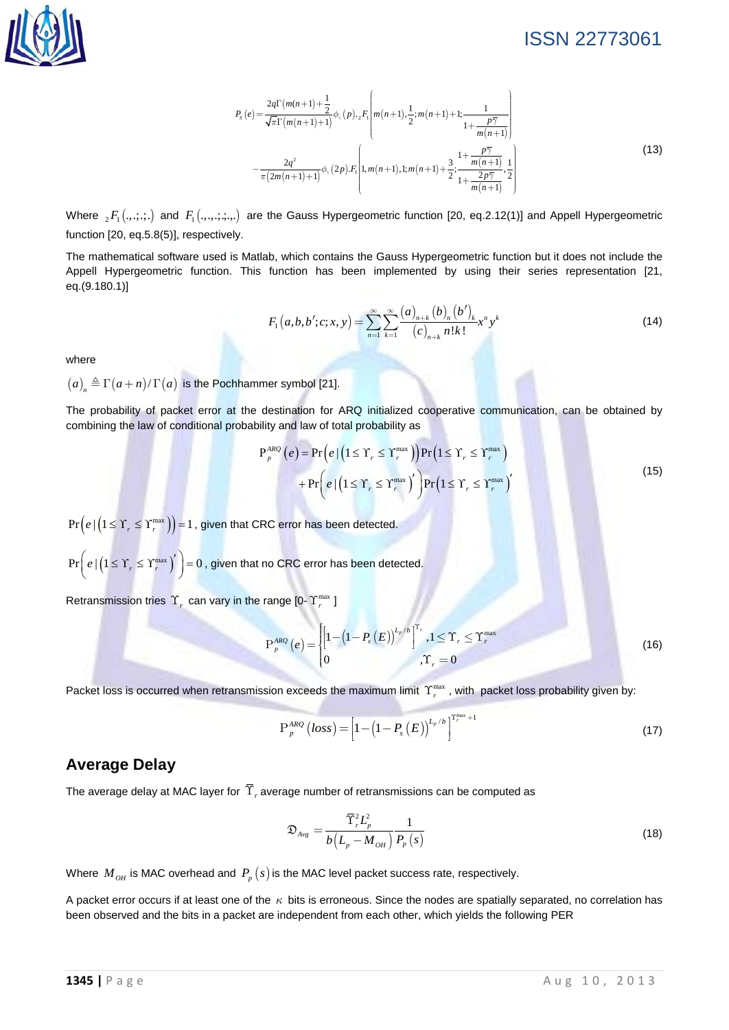$$
P_{s}(e) = \frac{2q\Gamma(m(n+1)+\frac{1}{2}}{\sqrt{\pi}\Gamma(m(n+1)+1)}\phi_{\gamma}(p) \cdot {}_{2}F_{1}\left(m(n+1),\frac{1}{2};m(n+1)+1;\frac{1}{1+\frac{p\overline{\gamma}}{m(n+1)}}\right) - \frac{2q^{2}}{\pi(2m(n+1)+1)}\phi_{\gamma}(2p) \cdot F_{1}\left(1,m(n+1),1;m(n+1)+\frac{3}{2};\frac{1+\frac{p\overline{\gamma}}{m(n+1)}}{1+\frac{2p\overline{\gamma}}{m(n+1)}},\frac{1}{2}\right)
$$
\n(13)

Where  ${}_2F_1(.,.;.;.)$  and  $F_1(.,.,.;.,.)$  are the Gauss Hypergeometric function [20, eq.2.12(1)] and Appell Hypergeometric function [20, eq.5.8(5)], respectively.

The mathematical software used is Matlab, which contains the Gauss Hypergeometric function but it does not include the Appell Hypergeometric function. This function has been implemented by using their series representation [21, eq.(9.180.1)]

$$
F_1(a,b,b';c;x,y) = \sum_{n=1}^{\infty} \sum_{k=1}^{\infty} \frac{(a)_{n+k} (b)_n (b')_k}{(c)_{n+k} n! k!} x^n y^k
$$
 (14)

where

 $(a)_n \triangleq \Gamma(a+n)/\Gamma(a)$  is the Pochhammer symbol [21].

The probability of packet error at the destination for ARQ initialized cooperative communication, can be obtained by combining the law of conditional probability and law of total probability as

$$
P_{p}^{ARQ}(e) = Pr(e | (1 \leq Y_{r} \leq Y_{r}^{max})) Pr(1 \leq Y_{r} \leq Y_{r}^{max}) + Pr(e | (1 \leq Y_{r} \leq Y_{r}^{max}))' Pr(1 \leq Y_{r} \leq Y_{r}^{max})'
$$
\n(15)

 $\Pr(e | (1 \leq \Upsilon_r \leq \Upsilon_r^{\max})) = 1$ , given that CRC error has been detected.

 $Pr\left(e \mid (1 \leq Y_r \leq Y_r^{\max})'\right) = 0$ , given that no CRC error has been detected.

Retransmission tries  $\Upsilon_r$  can vary in the range  $[0-\Upsilon_r^{\max}]$ 

$$
P_{p}^{ARQ}(e) = \begin{cases} \left[1 - \left(1 - P_{s}(E)\right)^{L_{p}/b}\right]^{T_{r}}, 1 \leq T_{r} \leq \Upsilon_{r}^{\max} \\ 0, \Upsilon_{r} = 0 \end{cases}
$$
(16)

Packet loss is occurred when retransmission exceeds the maximum limit  $\Upsilon^{max}$ , with packet loss probability given by:

$$
P_{p}^{ABC}(loss) = \left[1 - \left(1 - P_{s}(E)\right)^{L_{p}/b}\right]^{T_{r}^{max}+1}
$$
\n(17)

#### **Average Delay**

The average delay at MAC layer for  $\widetilde{\Upsilon}_r$  average number of retransmissions can be computed as

$$
\mathfrak{D}_{\scriptscriptstyle A\nu g} = \frac{\overline{\Upsilon}_{\scriptscriptstyle r}^2 L_{\scriptscriptstyle p}^2}{b \left( L_{\scriptscriptstyle p} - M_{\scriptscriptstyle OH} \right)} \frac{1}{P_{\scriptscriptstyle p}(s)}\tag{18}
$$

Where  $M_{OH}$  is MAC overhead and  $P_p(s)$  is the MAC level packet success rate, respectively.

A packet error occurs if at least one of the  $\kappa$  bits is erroneous. Since the nodes are spatially separated, no correlation has been observed and the bits in a packet are independent from each other, which yields the following PER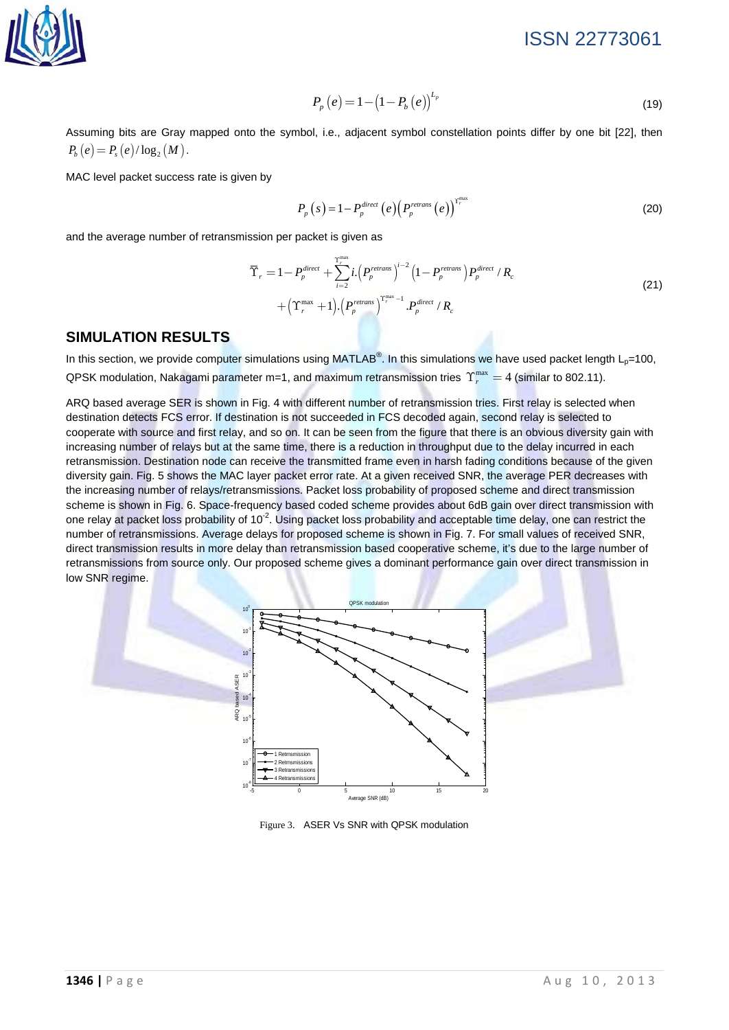

$$
P_p(e) = 1 - \left(1 - P_b(e)\right)^{L_p}
$$
\n(19)

Assuming bits are Gray mapped onto the symbol, i.e., adjacent symbol constellation points differ by one bit [22], then  $P_{b}(e) = P_{c}(e)/\log_{2}(M)$ .

MAC level packet success rate is given by

$$
P_p(s) = 1 - P_p^{\text{direct}}\left(e\right) \left(P_p^{\text{retrans}}\left(e\right)\right)^{r_p^{\text{max}}} \tag{20}
$$

and the average number of retransmission per packet is given as

$$
\overline{\Upsilon}_{r} = 1 - P_{p}^{\text{direct}} + \sum_{i=2}^{\Upsilon_{r}^{\text{max}}} i \cdot \left( P_{p}^{\text{retrans}} \right)^{i-2} \left( 1 - P_{p}^{\text{retrans}} \right) P_{p}^{\text{direct}} / R_{c}
$$
\n
$$
+ \left( \Upsilon_{r}^{\text{max}} + 1 \right) \cdot \left( P_{p}^{\text{retrans}} \right)^{\Upsilon_{r}^{\text{max}} - 1} . P_{p}^{\text{direct}} / R_{c}
$$
\n(21)

#### **SIMULATION RESULTS**

In this section, we provide computer simulations using MATLAB<sup>®</sup>. In this simulations we have used packet length L<sub>p</sub>=100, QPSK modulation, Nakagami parameter m=1, and maximum retransmission tries  $\Upsilon_r^{\text{max}} = 4$  (similar to 802.11).

ARQ based average SER is shown in Fig. 4 with different number of retransmission tries. First relay is selected when destination detects FCS error. If destination is not succeeded in FCS decoded again, second relay is selected to cooperate with source and first relay, and so on. It can be seen from the figure that there is an obvious diversity gain with increasing number of relays but at the same time, there is a reduction in throughput due to the delay incurred in each retransmission. Destination node can receive the transmitted frame even in harsh fading conditions because of the given diversity gain. Fig. 5 shows the MAC layer packet error rate. At a given received SNR, the average PER decreases with the increasing number of relays/retransmissions. Packet loss probability of proposed scheme and direct transmission scheme is shown in Fig. 6. Space-frequency based coded scheme provides about 6dB gain over direct transmission with one relay at packet loss probability of 10<sup>-2</sup>. Using packet loss probability and acceptable time delay, one can restrict the number of retransmissions. Average delays for proposed scheme is shown in Fig. 7. For small values of received SNR, direct transmission results in more delay than retransmission based cooperative scheme, it's due to the large number of retransmissions from source only. Our proposed scheme gives a dominant performance gain over direct transmission in low SNR regime.



Figure 3. ASER Vs SNR with QPSK modulation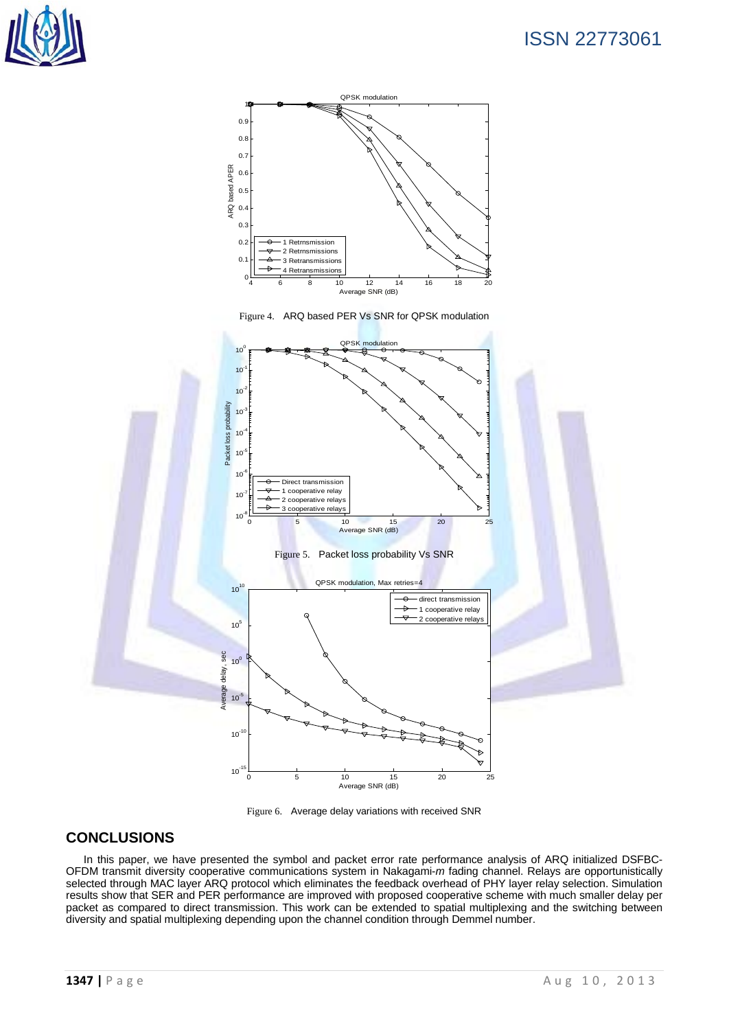





## **CONCLUSIONS**

In this paper, we have presented the symbol and packet error rate performance analysis of ARQ initialized DSFBC-OFDM transmit diversity cooperative communications system in Nakagami-*m* fading channel. Relays are opportunistically selected through MAC layer ARQ protocol which eliminates the feedback overhead of PHY layer relay selection. Simulation results show that SER and PER performance are improved with proposed cooperative scheme with much smaller delay per packet as compared to direct transmission. This work can be extended to spatial multiplexing and the switching between diversity and spatial multiplexing depending upon the channel condition through Demmel number.